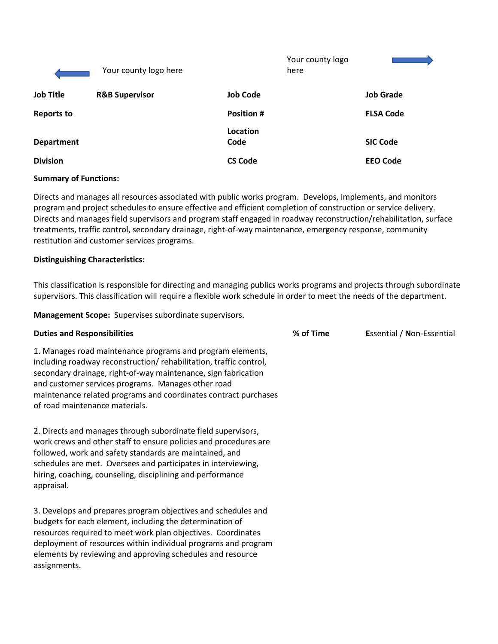|                   | Your county logo here     |                   | Your county logo<br>here |                  |
|-------------------|---------------------------|-------------------|--------------------------|------------------|
| <b>Job Title</b>  | <b>R&amp;B Supervisor</b> | <b>Job Code</b>   |                          | <b>Job Grade</b> |
| <b>Reports to</b> |                           | <b>Position #</b> |                          | <b>FLSA Code</b> |
| <b>Department</b> |                           | Location<br>Code  |                          | <b>SIC Code</b>  |
| <b>Division</b>   |                           | <b>CS Code</b>    |                          | <b>EEO Code</b>  |

# **Summary of Functions:**

Directs and manages all resources associated with public works program. Develops, implements, and monitors program and project schedules to ensure effective and efficient completion of construction or service delivery. Directs and manages field supervisors and program staff engaged in roadway reconstruction/rehabilitation, surface treatments, traffic control, secondary drainage, right-of-way maintenance, emergency response, community restitution and customer services programs.

# **Distinguishing Characteristics:**

This classification is responsible for directing and managing publics works programs and projects through subordinate supervisors. This classification will require a flexible work schedule in order to meet the needs of the department.

**Management Scope:** Supervises subordinate supervisors.

| <b>Duties and Responsibilities</b>                                                                                                                                                                                                                                                                                                                           | % of Time | <b>Essential / Non-Essential</b> |
|--------------------------------------------------------------------------------------------------------------------------------------------------------------------------------------------------------------------------------------------------------------------------------------------------------------------------------------------------------------|-----------|----------------------------------|
| 1. Manages road maintenance programs and program elements,<br>including roadway reconstruction/rehabilitation, traffic control,<br>secondary drainage, right-of-way maintenance, sign fabrication<br>and customer services programs. Manages other road<br>maintenance related programs and coordinates contract purchases<br>of road maintenance materials. |           |                                  |
| 2. Directs and manages through subordinate field supervisors,<br>work crews and other staff to ensure policies and procedures are<br>followed, work and safety standards are maintained, and<br>schedules are met. Oversees and participates in interviewing,<br>hiring, coaching, counseling, disciplining and performance<br>appraisal.                    |           |                                  |
| 3. Develops and prepares program objectives and schedules and<br>budgets for each element, including the determination of<br>resources required to meet work plan objectives. Coordinates<br>deployment of resources within individual programs and program<br>elements by reviewing and approving schedules and resource<br>assignments.                    |           |                                  |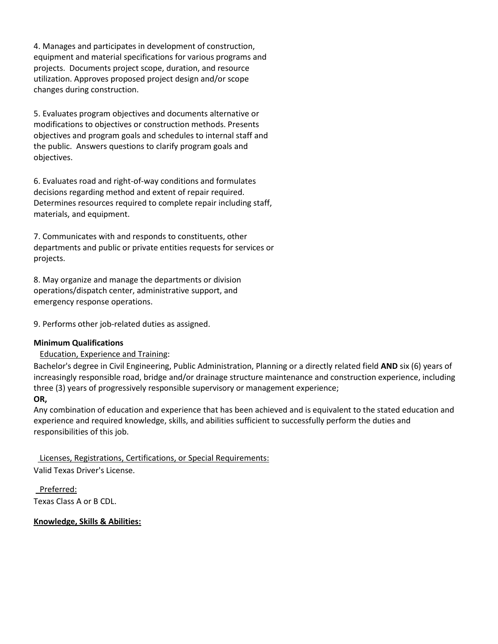4. Manages and participates in development of construction, equipment and material specifications for various programs and projects. Documents project scope, duration, and resource utilization. Approves proposed project design and/or scope changes during construction.

5. Evaluates program objectives and documents alternative or modifications to objectives or construction methods. Presents objectives and program goals and schedules to internal staff and the public. Answers questions to clarify program goals and objectives.

6. Evaluates road and right-of-way conditions and formulates decisions regarding method and extent of repair required. Determines resources required to complete repair including staff, materials, and equipment.

7. Communicates with and responds to constituents, other departments and public or private entities requests for services or projects.

8. May organize and manage the departments or division operations/dispatch center, administrative support, and emergency response operations.

9. Performs other job-related duties as assigned.

# **Minimum Qualifications**

# Education, Experience and Training:

Bachelor's degree in Civil Engineering, Public Administration, Planning or a directly related field **AND** six (6) years of increasingly responsible road, bridge and/or drainage structure maintenance and construction experience, including three (3) years of progressively responsible supervisory or management experience;

# **OR,**

Any combination of education and experience that has been achieved and is equivalent to the stated education and experience and required knowledge, skills, and abilities sufficient to successfully perform the duties and responsibilities of this job.

 Licenses, Registrations, Certifications, or Special Requirements: Valid Texas Driver's License.

 Preferred: Texas Class A or B CDL.

**Knowledge, Skills & Abilities:**